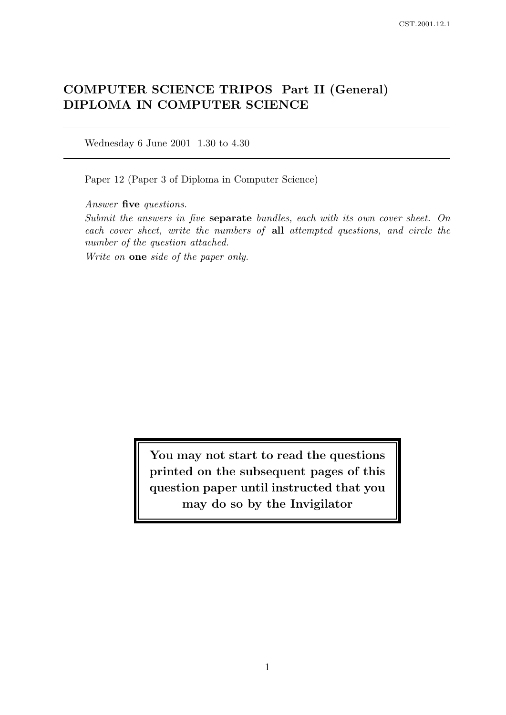# COMPUTER SCIENCE TRIPOS Part II (General) DIPLOMA IN COMPUTER SCIENCE

Wednesday 6 June 2001 1.30 to 4.30

Paper 12 (Paper 3 of Diploma in Computer Science)

Answer five questions.

Submit the answers in five separate bundles, each with its own cover sheet. On each cover sheet, write the numbers of all attempted questions, and circle the number of the question attached.

Write on one side of the paper only.

You may not start to read the questions printed on the subsequent pages of this question paper until instructed that you may do so by the Invigilator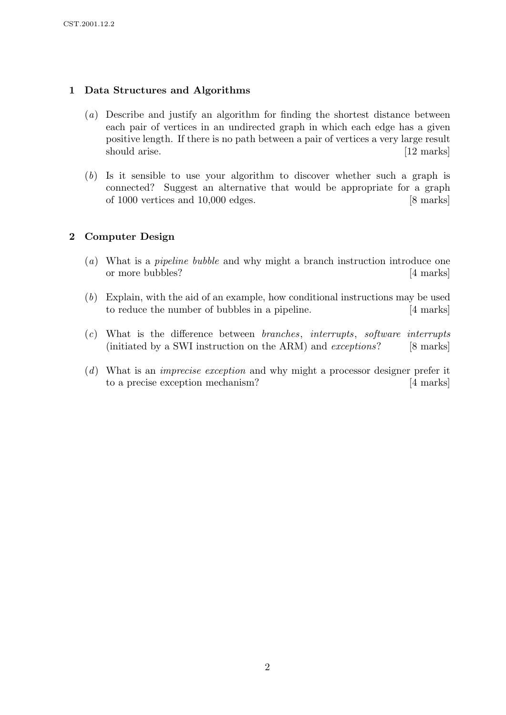## 1 Data Structures and Algorithms

- (a) Describe and justify an algorithm for finding the shortest distance between each pair of vertices in an undirected graph in which each edge has a given positive length. If there is no path between a pair of vertices a very large result should arise. [12 marks]
- (b) Is it sensible to use your algorithm to discover whether such a graph is connected? Suggest an alternative that would be appropriate for a graph of 1000 vertices and 10,000 edges. [8 marks]

## 2 Computer Design

- (a) What is a pipeline bubble and why might a branch instruction introduce one or more bubbles? [4 marks]
- (b) Explain, with the aid of an example, how conditional instructions may be used to reduce the number of bubbles in a pipeline. [4 marks]
- (c) What is the difference between branches, interrupts, software interrupts (initiated by a SWI instruction on the ARM) and *exceptions*? [8 marks]
- (d) What is an imprecise exception and why might a processor designer prefer it to a precise exception mechanism? [4 marks]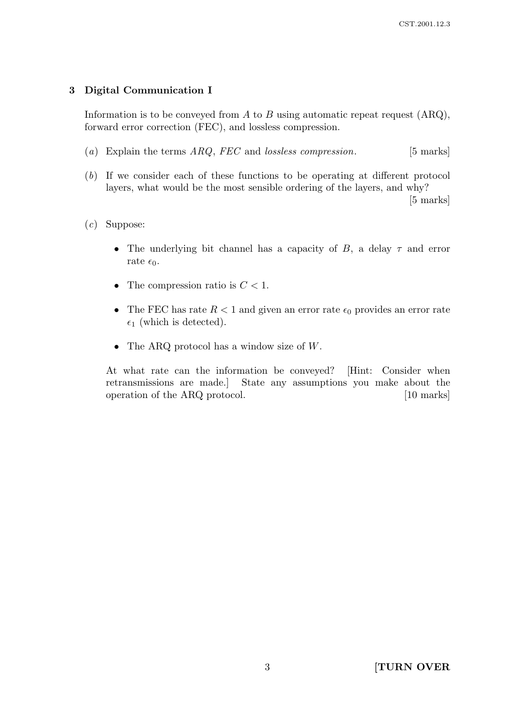#### 3 Digital Communication I

Information is to be conveyed from  $A$  to  $B$  using automatic repeat request  $(ARQ)$ , forward error correction (FEC), and lossless compression.

- (a) Explain the terms  $ARQ$ , FEC and lossless compression. [5 marks]
- (b) If we consider each of these functions to be operating at different protocol layers, what would be the most sensible ordering of the layers, and why?

[5 marks]

#### (c) Suppose:

- The underlying bit channel has a capacity of  $B$ , a delay  $\tau$  and error rate  $\epsilon_0$ .
- The compression ratio is  $C < 1$ .
- The FEC has rate  $R < 1$  and given an error rate  $\epsilon_0$  provides an error rate  $\epsilon_1$  (which is detected).
- The ARQ protocol has a window size of  $W$ .

At what rate can the information be conveyed? [Hint: Consider when retransmissions are made.] State any assumptions you make about the operation of the ARQ protocol. [10 marks]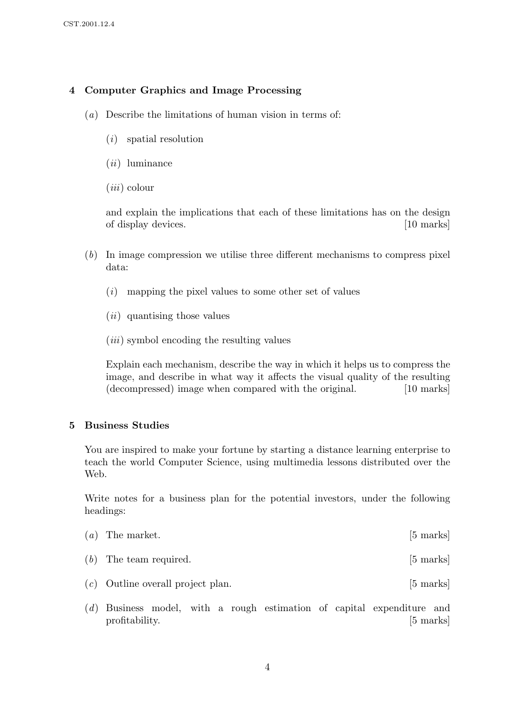# 4 Computer Graphics and Image Processing

- (a) Describe the limitations of human vision in terms of:
	- (i) spatial resolution
	- $(ii)$  luminance
	- $(iii)$  colour

and explain the implications that each of these limitations has on the design of display devices. [10 marks]  $\qquad \qquad$  [10 marks]

- (b) In image compression we utilise three different mechanisms to compress pixel data:
	- $(i)$  mapping the pixel values to some other set of values
	- (ii) quantising those values
	- $(iii)$  symbol encoding the resulting values

Explain each mechanism, describe the way in which it helps us to compress the image, and describe in what way it affects the visual quality of the resulting (decompressed) image when compared with the original. [10 marks]

#### 5 Business Studies

You are inspired to make your fortune by starting a distance learning enterprise to teach the world Computer Science, using multimedia lessons distributed over the Web.

Write notes for a business plan for the potential investors, under the following headings:

| $(a)$ The market.                   | $[5 \text{ marks}]$ |
|-------------------------------------|---------------------|
| $(b)$ The team required.            | $[5 \text{ marks}]$ |
| $(c)$ Outline overall project plan. | $[5 \text{ marks}]$ |

(d) Business model, with a rough estimation of capital expenditure and profitability. [5 marks]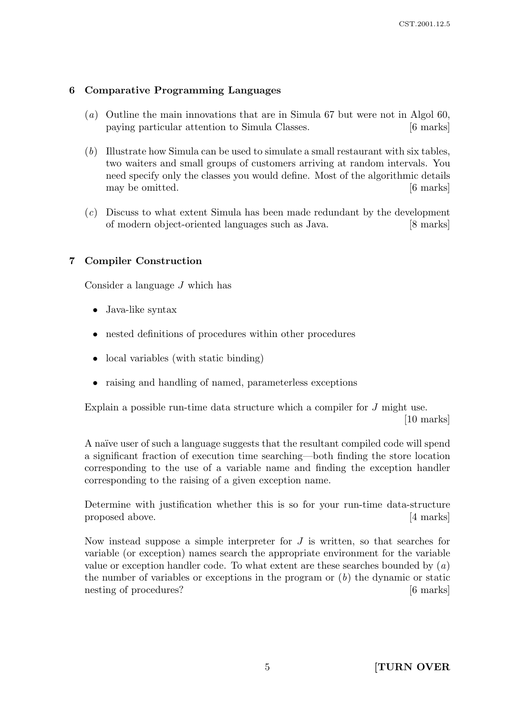# 6 Comparative Programming Languages

- (a) Outline the main innovations that are in Simula 67 but were not in Algol 60, paying particular attention to Simula Classes. [6 marks]
- (b) Illustrate how Simula can be used to simulate a small restaurant with six tables, two waiters and small groups of customers arriving at random intervals. You need specify only the classes you would define. Most of the algorithmic details may be omitted.  $|6 \text{ marks}|$
- (c) Discuss to what extent Simula has been made redundant by the development of modern object-oriented languages such as Java. [8 marks]

## 7 Compiler Construction

Consider a language J which has

- Java-like syntax
- nested definitions of procedures within other procedures
- local variables (with static binding)
- raising and handling of named, parameterless exceptions

Explain a possible run-time data structure which a compiler for J might use.

[10 marks]

A na¨ıve user of such a language suggests that the resultant compiled code will spend a significant fraction of execution time searching—both finding the store location corresponding to the use of a variable name and finding the exception handler corresponding to the raising of a given exception name.

Determine with justification whether this is so for your run-time data-structure proposed above. [4 marks]

Now instead suppose a simple interpreter for  $J$  is written, so that searches for variable (or exception) names search the appropriate environment for the variable value or exception handler code. To what extent are these searches bounded by  $(a)$ the number of variables or exceptions in the program or  $(b)$  the dynamic or static nesting of procedures? [6 marks]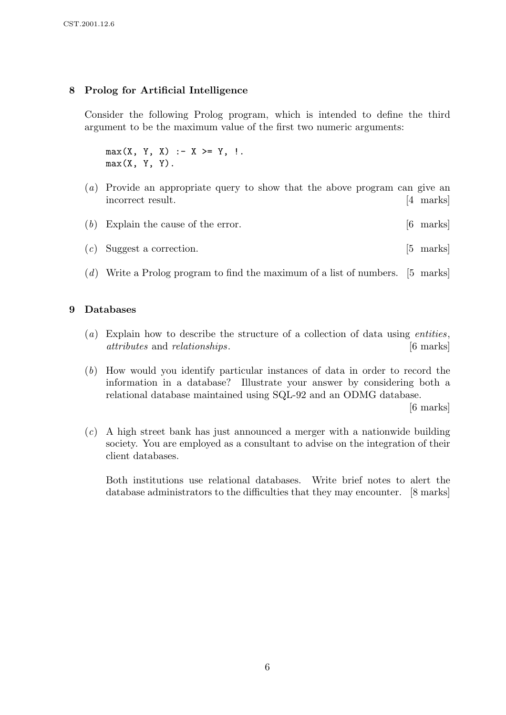#### 8 Prolog for Artificial Intelligence

Consider the following Prolog program, which is intended to define the third argument to be the maximum value of the first two numeric arguments:

 $max(X, Y, X)$  :-  $X \geq Y, !$ .  $max(X, Y, Y)$ .

- (a) Provide an appropriate query to show that the above program can give an incorrect result. [4 marks]
- (b) Explain the cause of the error. [6 marks]
- $(c)$  Suggest a correction. [5 marks]
- (d) Write a Prolog program to find the maximum of a list of numbers. [5 marks]

#### 9 Databases

- (a) Explain how to describe the structure of a collection of data using *entities*, attributes and relationships. [6 marks]
- (b) How would you identify particular instances of data in order to record the information in a database? Illustrate your answer by considering both a relational database maintained using SQL-92 and an ODMG database.

[6 marks]

(c) A high street bank has just announced a merger with a nationwide building society. You are employed as a consultant to advise on the integration of their client databases.

Both institutions use relational databases. Write brief notes to alert the database administrators to the difficulties that they may encounter. [8 marks]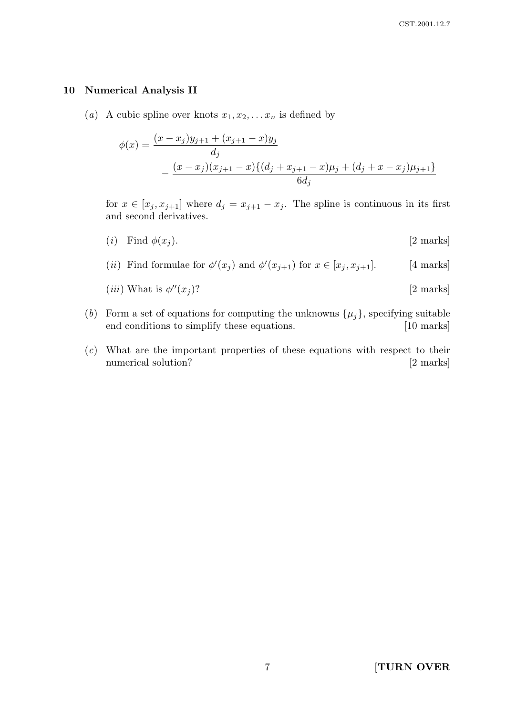#### 10 Numerical Analysis II

(a) A cubic spline over knots  $x_1, x_2, \ldots x_n$  is defined by

$$
\phi(x) = \frac{(x - x_j)y_{j+1} + (x_{j+1} - x)y_j}{d_j}
$$

$$
- \frac{(x - x_j)(x_{j+1} - x)\{(d_j + x_{j+1} - x)\mu_j + (d_j + x - x_j)\mu_{j+1}\}}{6d_j}
$$

for  $x \in [x_j, x_{j+1}]$  where  $d_j = x_{j+1} - x_j$ . The spline is continuous in its first and second derivatives.

- (i) Find  $\phi(x_j)$ . [2 marks]
- (*ii*) Find formulae for  $\phi'(x_j)$  and  $\phi'(x_{j+1})$  for  $x \in [x_j, x_{j+1}]$ . [4 marks]
- (*iii*) What is  $\phi''(x_j)$ ?  $[2 \text{ marks}]$
- (b) Form a set of equations for computing the unknowns  $\{\mu_j\}$ , specifying suitable end conditions to simplify these equations. [10 marks]
- (c) What are the important properties of these equations with respect to their numerical solution? [2 marks]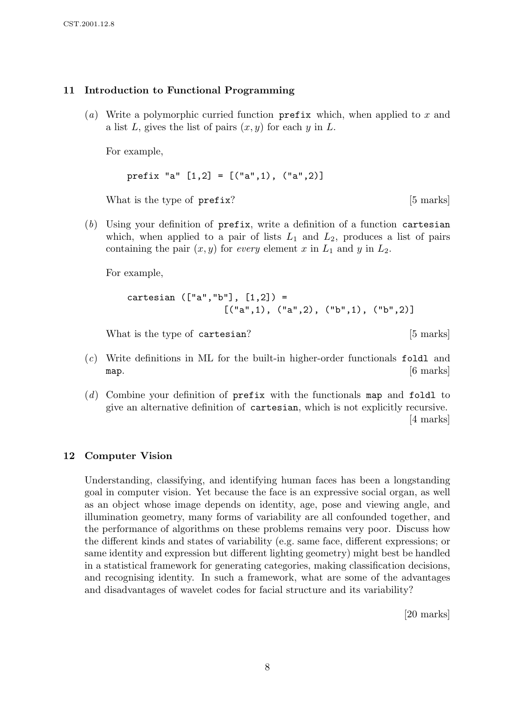#### 11 Introduction to Functional Programming

(a) Write a polymorphic curried function  $\mathbf{prefix}$  which, when applied to x and a list L, gives the list of pairs  $(x, y)$  for each y in L.

For example,

```
prefix "a" [1,2] = [('a",1), ('a",2)]
```
What is the type of prefix? [5 marks]

(b) Using your definition of prefix, write a definition of a function cartesian which, when applied to a pair of lists  $L_1$  and  $L_2$ , produces a list of pairs containing the pair  $(x, y)$  for every element x in  $L_1$  and y in  $L_2$ .

For example,

```
cartesian (["a", "b"], [1,2]) =[("a", 1), ("a", 2), ("b", 1), ("b", 2)]
```
What is the type of cartesian? [5 marks]

- (c) Write definitions in ML for the built-in higher-order functionals foldl and map.  $[6 \text{ marks}]$
- $(d)$  Combine your definition of prefix with the functionals map and foldl to give an alternative definition of cartesian, which is not explicitly recursive. [4 marks]

#### 12 Computer Vision

Understanding, classifying, and identifying human faces has been a longstanding goal in computer vision. Yet because the face is an expressive social organ, as well as an object whose image depends on identity, age, pose and viewing angle, and illumination geometry, many forms of variability are all confounded together, and the performance of algorithms on these problems remains very poor. Discuss how the different kinds and states of variability (e.g. same face, different expressions; or same identity and expression but different lighting geometry) might best be handled in a statistical framework for generating categories, making classification decisions, and recognising identity. In such a framework, what are some of the advantages and disadvantages of wavelet codes for facial structure and its variability?

[20 marks]